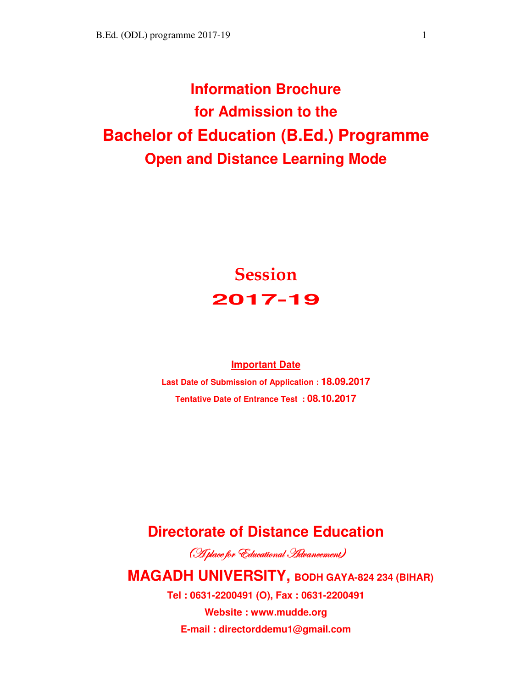# **Information Brochure for Admission to the Bachelor of Education (B.Ed.) Programme Open and Distance Learning Mode**

# **Session 2017-19**

#### **Important Date**

**Last Date of Submission of Application : 18.09.2017 Tentative Date of Entrance Test : 08.10.2017**

## **Directorate of Distance Education**

(H place for Educational Havancement)

## **MAGADH UNIVERSITY, BODH GAYA-824 234 (BIHAR)**

**Tel : 0631-2200491 (O), Fax : 0631-2200491** 

**Website : www.mudde.org E-mail : directorddemu1@gmail.com**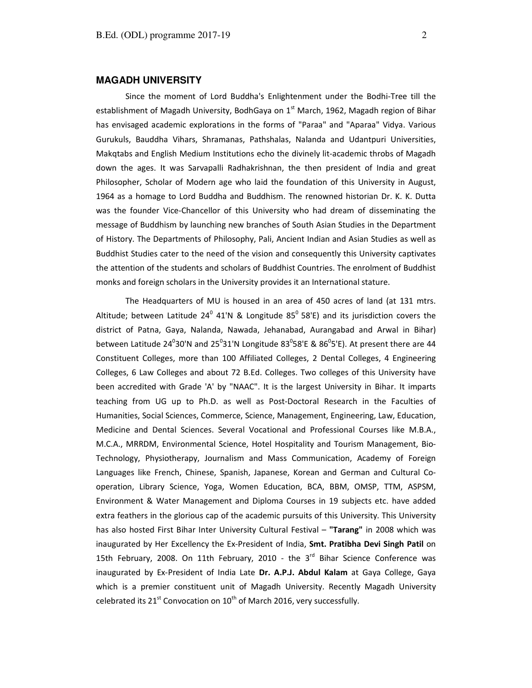#### **MAGADH UNIVERSITY**

Since the moment of Lord Buddha's Enlightenment under the Bodhi-Tree till the establishment of Magadh University, BodhGaya on 1<sup>st</sup> March, 1962, Magadh region of Bihar has envisaged academic explorations in the forms of "Paraa" and "Aparaa" Vidya. Various Gurukuls, Bauddha Vihars, Shramanas, Pathshalas, Nalanda and Udantpuri Universities, Makqtabs and English Medium Institutions echo the divinely lit-academic throbs of Magadh down the ages. It was Sarvapalli Radhakrishnan, the then president of India and great Philosopher, Scholar of Modern age who laid the foundation of this University in August, 1964 as a homage to Lord Buddha and Buddhism. The renowned historian Dr. K. K. Dutta was the founder Vice-Chancellor of this University who had dream of disseminating the message of Buddhism by launching new branches of South Asian Studies in the Department of History. The Departments of Philosophy, Pali, Ancient Indian and Asian Studies as well as Buddhist Studies cater to the need of the vision and consequently this University captivates the attention of the students and scholars of Buddhist Countries. The enrolment of Buddhist monks and foreign scholars in the University provides it an International stature.

 The Headquarters of MU is housed in an area of 450 acres of land (at 131 mtrs. Altitude; between Latitude 24 $^0$  41'N & Longitude 85 $^0$  58'E) and its jurisdiction covers the district of Patna, Gaya, Nalanda, Nawada, Jehanabad, Aurangabad and Arwal in Bihar) between Latitude 24 $^{0}$ 30'N and 25 $^{0}$ 31'N Longitude 83 $^{0}$ 58'E & 86 $^{0}$ 5'E). At present there are 44 Constituent Colleges, more than 100 Affiliated Colleges, 2 Dental Colleges, 4 Engineering Colleges, 6 Law Colleges and about 72 B.Ed. Colleges. Two colleges of this University have been accredited with Grade 'A' by "NAAC". It is the largest University in Bihar. It imparts teaching from UG up to Ph.D. as well as Post-Doctoral Research in the Faculties of Humanities, Social Sciences, Commerce, Science, Management, Engineering, Law, Education, Medicine and Dental Sciences. Several Vocational and Professional Courses like M.B.A., M.C.A., MRRDM, Environmental Science, Hotel Hospitality and Tourism Management, Bio-Technology, Physiotherapy, Journalism and Mass Communication, Academy of Foreign Languages like French, Chinese, Spanish, Japanese, Korean and German and Cultural Cooperation, Library Science, Yoga, Women Education, BCA, BBM, OMSP, TTM, ASPSM, Environment & Water Management and Diploma Courses in 19 subjects etc. have added extra feathers in the glorious cap of the academic pursuits of this University. This University has also hosted First Bihar Inter University Cultural Festival – **"Tarang"** in 2008 which was inaugurated by Her Excellency the Ex-President of India, **Smt. Pratibha Devi Singh Patil** on 15th February, 2008. On 11th February, 2010 - the  $3<sup>rd</sup>$  Bihar Science Conference was inaugurated by Ex-President of India Late **Dr. A.P.J. Abdul Kalam** at Gaya College, Gaya which is a premier constituent unit of Magadh University. Recently Magadh University celebrated its  $21^{st}$  Convocation on  $10^{th}$  of March 2016, very successfully.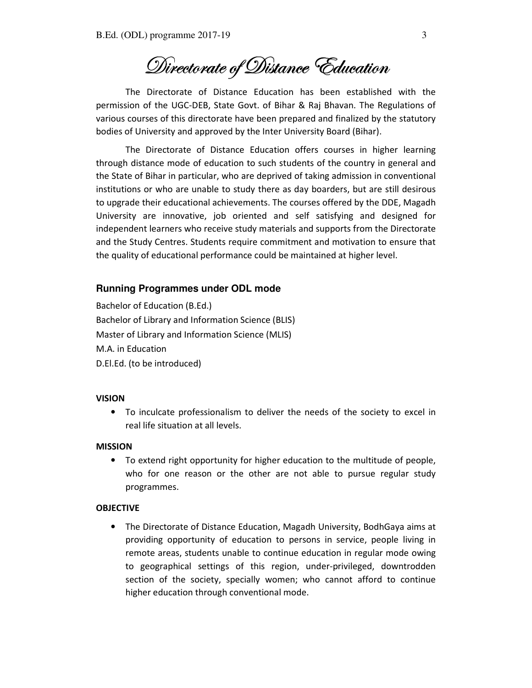Divectorate of Distance Éducation

The Directorate of Distance Education has been established with the permission of the UGC-DEB, State Govt. of Bihar & Raj Bhavan. The Regulations of various courses of this directorate have been prepared and finalized by the statutory bodies of University and approved by the Inter University Board (Bihar).

 The Directorate of Distance Education offers courses in higher learning through distance mode of education to such students of the country in general and the State of Bihar in particular, who are deprived of taking admission in conventional institutions or who are unable to study there as day boarders, but are still desirous to upgrade their educational achievements. The courses offered by the DDE, Magadh University are innovative, job oriented and self satisfying and designed for independent learners who receive study materials and supports from the Directorate and the Study Centres. Students require commitment and motivation to ensure that the quality of educational performance could be maintained at higher level.

#### **Running Programmes under ODL mode**

Bachelor of Education (B.Ed.) Bachelor of Library and Information Science (BLIS) Master of Library and Information Science (MLIS) M.A. in Education D.El.Ed. (to be introduced)

#### **VISION**

• To inculcate professionalism to deliver the needs of the society to excel in real life situation at all levels.

#### **MISSION**

• To extend right opportunity for higher education to the multitude of people, who for one reason or the other are not able to pursue regular study programmes.

#### **OBJECTIVE**

• The Directorate of Distance Education, Magadh University, BodhGaya aims at providing opportunity of education to persons in service, people living in remote areas, students unable to continue education in regular mode owing to geographical settings of this region, under-privileged, downtrodden section of the society, specially women; who cannot afford to continue higher education through conventional mode.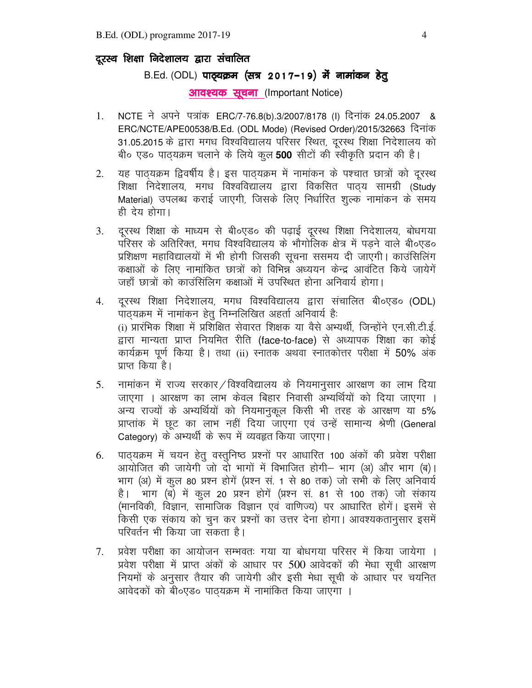### दूरस्थ शिक्षा निदेशालय द्वारा संचालित

### B.Ed. (ODL) पाठ्यक्रम (सत्र 2017-19) में नामांकन हेतू

**आवश्यक सूचना (Important Notice)** 

- 1. NCTE ने अपने पत्रांक ERC/7-76.8(b).3/2007/8178 (I) दिनांक 24.05.2007 & ERC/NCTE/APE00538/B.Ed. (ODL Mode) (Revised Order)/2015/32663 दिनांक 31.05.2015 के द्वारा मगध विश्वविद्यालय परिसर स्थित, दूरस्थ शिक्षा निदेशालय को बी० एड० पाठ्यक्रम चलाने के लिये कूल 500 सीटों की स्वीकृति प्रदान की है।
- 2. यह पाठ्यक्रम द्विवर्षीय है। इस पाठ्यक्रम में नामांकन के पश्चात छात्रों को दूरस्थ शिक्षा निदेशालय, मगध विश्वविद्यालय द्वारा विकसित पाठ्य सामग्री (Study Material) उपलब्ध कराई जाएगी, जिसके लिए निर्धारित शूल्क नामांकन के समय ही देय होगा।
- 3. दूरस्थ शिक्षा के माध्यम से बी०एड० की पढाई दूरस्थ शिक्षा निदेशालय, बोधगया परिसर के अतिरिक्त, मगध विश्वविद्यालय के भौगोलिक क्षेत्र में पडने वाले बी०एड० प्रशिक्षण महाविद्यालयों में भी होगी जिसकी सूचना ससमय दी जाएगी। काउंसिलिंग कक्षाओं के लिए नामांकित छात्रों को विभिन्न अध्ययन केन्द्र आवंटित किये जायेगें जहाँ छात्रों को काउंसिलिग कक्षाओं में उपस्थित होना अनिवार्य होगा।
- 4. दूरस्थ शिक्षा निदेशालय, मगध विश्वविद्यालय द्वारा संचालित बी०एड० (ODL) पाठ्यक्रम में नामांकन हेतू निम्नलिखित अहर्ता अनिवार्य है: (i) प्रारंभिक शिक्षा में प्रशिक्षित सेवारत शिक्षक या वैसे अभ्यर्थी, जिन्होंने एन.सी.टी.ई. द्वारा मान्यता प्राप्त नियमित रीति (face-to-face) से अध्यापक शिक्षा का कोई कार्यक्रम पूर्ण किया है। तथा (ii) स्नातक अथवा स्नातकोत्तर परीक्षा में 50% अंक प्राप्त किया है।
- 5. नामांकन में राज्य सरकार / विश्वविद्यालय के नियमानुसार आरक्षण का लाभ दिया जाएगा । आरक्षण का लाभ केवल बिहार निवासी अभ्यर्थियों को दिया जाएगा । अन्य राज्यों के अभ्यर्थियों को नियमानुकूल किसी भी तरह के आरक्षण या 5% प्राप्तांक में छूट का लाभ नहीं दिया जाएगा एवं उन्हें सामान्य श्रेणी (General Category) के अभ्यर्थी के रूप में व्यवहृत किया जाएगा।
- 6. पाठयक्रम में चयन हेतु वस्तुनिष्ठ प्रश्नों पर आधारित 100 अंकों की प्रवेश परीक्षा आयोजित की जायेगी जो दो भागों में विभाजित होगी– भाग (अ) और भाग (ब)। भाग (अ) में कूल 80 प्रश्न होगें (प्रश्न सं. 1 से 80 तक) जो सभी के लिए अनिवार्य है। भाग (ब) में कूल 20 प्रश्न होगें (प्रश्न सं. 81 से 100 तक) जो संकाय (मानविकी, विज्ञान, सामाजिक विज्ञान एवं वाणिज्य) पर आधारित होगें। इसमें से किसी एक संकाय को चुन कर प्रश्नों का उत्तर देना होगा। आवश्यकतानुसार इसमें परिवर्तन भी किया जा सकता है।
- 7. प्रवेश परीक्षा का आयोजन सम्भवतः गया या बोधगया परिसर में किया जायेगा । प्रवेश परीक्षा में प्राप्त अंकों के आधार पर 500 आवेदकों की मेधा सूची आरक्षण नियमों के अनुसार तैयार की जायेगी और इसी मेधा सूची के आधार पर चयनित आवेदकों को बी०एड० पाठयक्रम में नामांकित किया जाएगा ।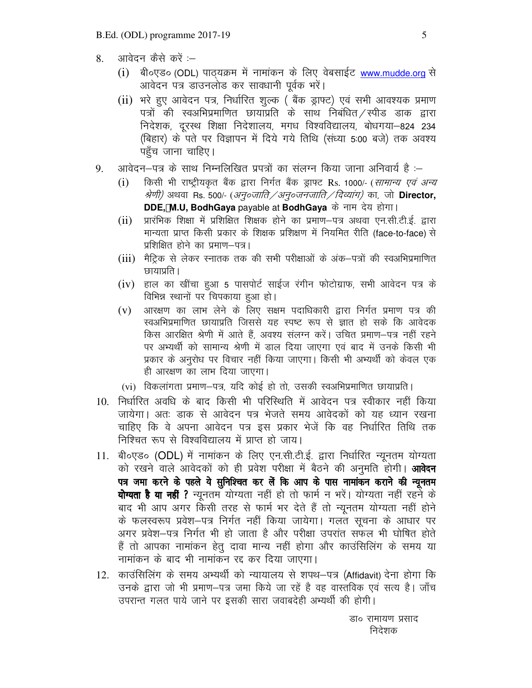- 8. आवेदन कैसे करें :--
	- $(i)$  बी॰एड॰ (ODL) पाठयक्रम में नामांकन के लिए वेबसाईट www.mudde.org से आवेदन पत्र डाउनलोड कर सावधानी पूर्वक भरें।
	- (ii) भरे हुए आवेदन पत्र, निर्धारित शुल्क ( बैंक ड्राफ्ट) एवं सभी आवश्यक प्रमाण पत्रों की स्वअभिप्रमाणित छायाप्रति के साथ निबंधित $\,$ स्पीड डाक द्वारा निदेशक, दूरस्थ शिक्षा निदेशालय, मगध विश्वविद्यालय, बोधगया-824 234 (बिहार) के पते पर विज्ञापन में दिये गये तिथि (संध्या 5:00 बजे) तक अवश्य पहुँच जाना चाहिए।
- 9. अावेदन–पत्र के साथ निम्नलिखित प्रपत्रों का संलग्न किया जाना अनिवार्य है :–
	- (i) किसी भी राष्ट्रीयकृत बैंक द्वारा निर्गत बैंक ड्राफ्ट Rs. 1000/- (*सामान्य एवं अन्य श्रेणी)* अथवा Rs. 500/- (*अनु०जाति / अनु०जनजाति / दिव्यांग)* का, जो **Director, DDE, M.U, BodhGaya** payable at **BodhGaya** के नाम देय होगा।
	- $(iii)$  प्रारंभिक शिक्षा में प्रशिक्षित शिक्षक होने का प्रमाण–पत्र अथवा एन.सी.टी.ई. द्वारा मान्यता प्राप्त किसी प्रकार के शिक्षक प्रशिक्षण में नियमित रीति (face-to-face) से प्रशिक्षित होने का प्रमाण—पत्र।
	- $(iii)$  मैट्रिक से लेकर स्नातक तक की सभी परीक्षाओं के अंक-पत्रों की स्वअभिप्रमाणित छायाप्रति ।
	- (iv) हाल का खींचा हुआ 5 पासपोर्ट साईज रंगीन फोटोग्राफ, सभी आवेदन पत्र के विभिन्न स्थानों पर चिपकाया हुआ हो।
	- (v) आरक्षण का लाभ लेने के लिए सक्षम पदाधिकारी द्वारा निर्गत प्रमाण पत्र की स्वअभिप्रमाणित छायाप्रति जिससे यह स्पष्ट रूप से ज्ञात हो सके कि आवेदक किस आरक्षित श्रेणी में आते हैं, अवश्य संलग्न करें। उचित प्रमाण–पत्र नहीं रहने पर अभ्यर्थी को सामान्य श्रेणी में डाल दिया जाएगा एवं बाद में उनके किसी भी प्रकार के अनुरोध पर विचार नहीं किया जाएगा। किसी भी अभ्यर्थी को केवल एक ही आरक्षण का लाभ दिया जाएगा।
	- $(vi)$  विकलांगता प्रमाण—पत्र, यदि कोई हो तो, उसकी स्वअभिप्रमाणित छायाप्रति ।
- 10. निर्धारित अवधि के बाद किसी भी परिस्थिति में आवेदन पत्र स्वीकार नहीं किया जायेगा। अतः डाक से आवेदन पत्र भेजते समय आवेदकों को यह ध्यान रखना चाहिए कि वे अपना आवेदन पत्र इस प्रकार भेजें कि वह निर्धारित तिथि तक निश्चित रूप से विश्वविद्यालय में प्राप्त हो जाय।
- 11. बी०एड० (ODL) में नामांकन के लिए एन.सी.टी.ई. द्वारा निर्धारित न्यूनतम योग्यता को रखने वाले आवेदकों को ही प्रवेश परीक्षा में बैठने की अनुमति होगी। **आवेदन** पत्र जमा करने के पहले ये सुनिश्चित कर लें कि आप के पास नामांकन कराने की न्यूनतम **योग्यता है या नहीं ?** न्यूनतम योग्यता नहीं हो तो फार्म न भरें। योग्यता नहीं रहने के बाद भी आप अगर किसी तरह से फार्म भर देते हैं तो न्यूनतम योग्यता नहीं होने के फलस्वरूप प्रवेश—पत्र निर्गत नहीं किया जायेगा। गलत सूचना के आधार पर अगर प्रवेश—पत्र निर्गत भी हो जाता है और परीक्षा उपरांत सफल भी घोषित होते हैं तो आपका नामांकन हेतू दावा मान्य नहीं होगा और काउंसिलिंग के समय या नामांकन के बाद भी नामांकन रद्द कर दिया जाएगा।
- 12. काउंसिलिंग के समय अभ्यर्थी को न्यायालय से शपथ-पत्र (Affidavit) देना होगा कि उनके द्वारा जो भी प्रमाण–पत्र जमा किये जा रहें है वह वास्तविक एवं सत्य है। जाँच उपरान्त गलत पाये जाने पर इसकी सारा जवाबदेही अभ्यथी की होगी।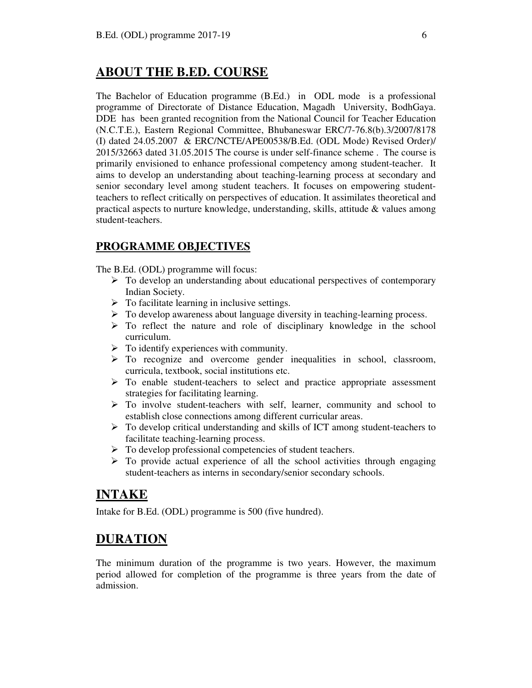## **ABOUT THE B.ED. COURSE**

The Bachelor of Education programme (B.Ed.) in ODL mode is a professional programme of Directorate of Distance Education, Magadh University, BodhGaya. DDE has been granted recognition from the National Council for Teacher Education (N.C.T.E.), Eastern Regional Committee, Bhubaneswar ERC/7-76.8(b).3/2007/8178 (I) dated 24.05.2007 & ERC/NCTE/APE00538/B.Ed. (ODL Mode) Revised Order)/ 2015/32663 dated 31.05.2015 The course is under self-finance scheme . The course is primarily envisioned to enhance professional competency among student-teacher. It aims to develop an understanding about teaching-learning process at secondary and senior secondary level among student teachers. It focuses on empowering studentteachers to reflect critically on perspectives of education. It assimilates theoretical and practical aspects to nurture knowledge, understanding, skills, attitude & values among student-teachers.

## **PROGRAMME OBJECTIVES**

The B.Ed. (ODL) programme will focus:

- $\triangleright$  To develop an understanding about educational perspectives of contemporary Indian Society.
- $\triangleright$  To facilitate learning in inclusive settings.
- $\triangleright$  To develop awareness about language diversity in teaching-learning process.
- $\triangleright$  To reflect the nature and role of disciplinary knowledge in the school curriculum.
- $\triangleright$  To identify experiences with community.
- $\triangleright$  To recognize and overcome gender inequalities in school, classroom, curricula, textbook, social institutions etc.
- $\triangleright$  To enable student-teachers to select and practice appropriate assessment strategies for facilitating learning.
- $\triangleright$  To involve student-teachers with self, learner, community and school to establish close connections among different curricular areas.
- $\triangleright$  To develop critical understanding and skills of ICT among student-teachers to facilitate teaching-learning process.
- $\triangleright$  To develop professional competencies of student teachers.
- $\triangleright$  To provide actual experience of all the school activities through engaging student-teachers as interns in secondary/senior secondary schools.

## **INTAKE**

Intake for B.Ed. (ODL) programme is 500 (five hundred).

## **DURATION**

The minimum duration of the programme is two years. However, the maximum period allowed for completion of the programme is three years from the date of admission.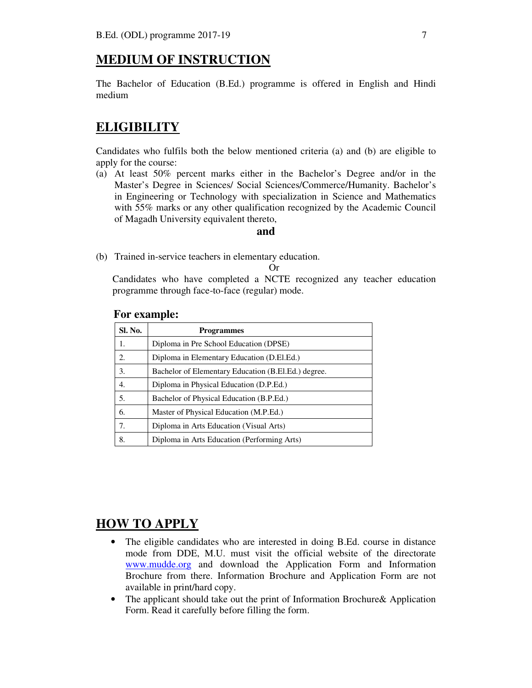## **MEDIUM OF INSTRUCTION**

The Bachelor of Education (B.Ed.) programme is offered in English and Hindi medium

## **ELIGIBILITY**

Candidates who fulfils both the below mentioned criteria (a) and (b) are eligible to apply for the course:

(a) At least 50% percent marks either in the Bachelor's Degree and/or in the Master's Degree in Sciences/ Social Sciences/Commerce/Humanity. Bachelor's in Engineering or Technology with specialization in Science and Mathematics with 55% marks or any other qualification recognized by the Academic Council of Magadh University equivalent thereto,

#### **and**

(b) Trained in-service teachers in elementary education.

Or

Candidates who have completed a NCTE recognized any teacher education programme through face-to-face (regular) mode.

#### **For example:**

| Sl. No. | <b>Programmes</b>                                   |
|---------|-----------------------------------------------------|
| 1.      | Diploma in Pre School Education (DPSE)              |
| 2.      | Diploma in Elementary Education (D.El.Ed.)          |
| 3.      | Bachelor of Elementary Education (B.El.Ed.) degree. |
| 4.      | Diploma in Physical Education (D.P.Ed.)             |
| .5.     | Bachelor of Physical Education (B.P.Ed.)            |
| 6.      | Master of Physical Education (M.P.Ed.)              |
| 7.      | Diploma in Arts Education (Visual Arts)             |
| 8.      | Diploma in Arts Education (Performing Arts)         |

## **HOW TO APPLY**

- The eligible candidates who are interested in doing B.Ed. course in distance mode from DDE, M.U. must visit the official website of the directorate www.mudde.org and download the Application Form and Information Brochure from there. Information Brochure and Application Form are not available in print/hard copy.
- The applicant should take out the print of Information Brochure& Application Form. Read it carefully before filling the form.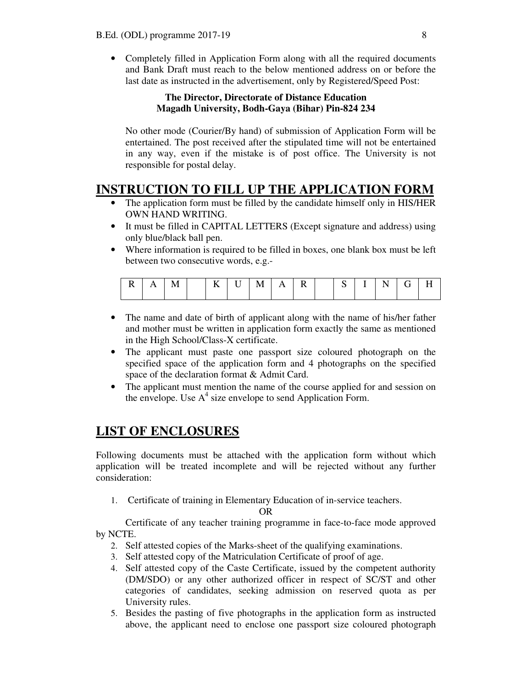• Completely filled in Application Form along with all the required documents and Bank Draft must reach to the below mentioned address on or before the last date as instructed in the advertisement, only by Registered/Speed Post:

#### **The Director, Directorate of Distance Education Magadh University, Bodh-Gaya (Bihar) Pin-824 234**

No other mode (Courier/By hand) of submission of Application Form will be entertained. The post received after the stipulated time will not be entertained in any way, even if the mistake is of post office. The University is not responsible for postal delay.

## **INSTRUCTION TO FILL UP THE APPLICATION FORM**

- The application form must be filled by the candidate himself only in HIS/HER OWN HAND WRITING.
- It must be filled in CAPITAL LETTERS (Except signature and address) using only blue/black ball pen.
- Where information is required to be filled in boxes, one blank box must be left between two consecutive words, e.g.-

| $\mathbf{A}$ |  | $-$ | U | $\mathbf{A}$ |  | ື | $\mathbf{I}$ | . . |  |
|--------------|--|-----|---|--------------|--|---|--------------|-----|--|
|              |  |     |   |              |  |   |              |     |  |

- The name and date of birth of applicant along with the name of his/her father and mother must be written in application form exactly the same as mentioned in the High School/Class-X certificate.
- The applicant must paste one passport size coloured photograph on the specified space of the application form and 4 photographs on the specified space of the declaration format & Admit Card.
- The applicant must mention the name of the course applied for and session on the envelope. Use  $A<sup>4</sup>$  size envelope to send Application Form.

## **LIST OF ENCLOSURES**

Following documents must be attached with the application form without which application will be treated incomplete and will be rejected without any further consideration:

1. Certificate of training in Elementary Education of in-service teachers.

OR

Certificate of any teacher training programme in face-to-face mode approved by NCTE.

- 2. Self attested copies of the Marks-sheet of the qualifying examinations.
- 3. Self attested copy of the Matriculation Certificate of proof of age.
- 4. Self attested copy of the Caste Certificate, issued by the competent authority (DM/SDO) or any other authorized officer in respect of SC/ST and other categories of candidates, seeking admission on reserved quota as per University rules.
- 5. Besides the pasting of five photographs in the application form as instructed above, the applicant need to enclose one passport size coloured photograph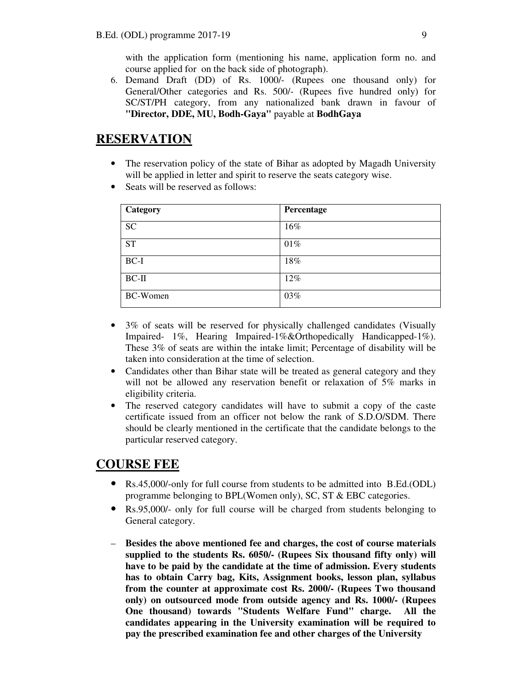with the application form (mentioning his name, application form no. and course applied for on the back side of photograph).

6. Demand Draft (DD) of Rs. 1000/- (Rupees one thousand only) for General/Other categories and Rs. 500/- (Rupees five hundred only) for SC/ST/PH category, from any nationalized bank drawn in favour of **"Director, DDE, MU, Bodh-Gaya"** payable at **BodhGaya**

## **RESERVATION**

- The reservation policy of the state of Bihar as adopted by Magadh University will be applied in letter and spirit to reserve the seats category wise.
- Seats will be reserved as follows:

| Category        | Percentage |
|-----------------|------------|
| <b>SC</b>       | 16%        |
| <b>ST</b>       | 01%        |
| $BC-I$          | 18%        |
| $BC-II$         | 12%        |
| <b>BC-Women</b> | 03%        |

- 3% of seats will be reserved for physically challenged candidates (Visually Impaired- 1%, Hearing Impaired-1%&Orthopedically Handicapped-1%). These 3% of seats are within the intake limit; Percentage of disability will be taken into consideration at the time of selection.
- Candidates other than Bihar state will be treated as general category and they will not be allowed any reservation benefit or relaxation of 5% marks in eligibility criteria.
- The reserved category candidates will have to submit a copy of the caste certificate issued from an officer not below the rank of S.D.O/SDM. There should be clearly mentioned in the certificate that the candidate belongs to the particular reserved category.

## **COURSE FEE**

- Rs.45,000/-only for full course from students to be admitted into B.Ed.(ODL) programme belonging to BPL(Women only), SC, ST & EBC categories.
- Rs.95,000/- only for full course will be charged from students belonging to General category.
- **Besides the above mentioned fee and charges, the cost of course materials supplied to the students Rs. 6050/- (Rupees Six thousand fifty only) will have to be paid by the candidate at the time of admission. Every students has to obtain Carry bag, Kits, Assignment books, lesson plan, syllabus from the counter at approximate cost Rs. 2000/- (Rupees Two thousand only) on outsourced mode from outside agency and Rs. 1000/- (Rupees One thousand) towards "Students Welfare Fund" charge. All the candidates appearing in the University examination will be required to pay the prescribed examination fee and other charges of the University**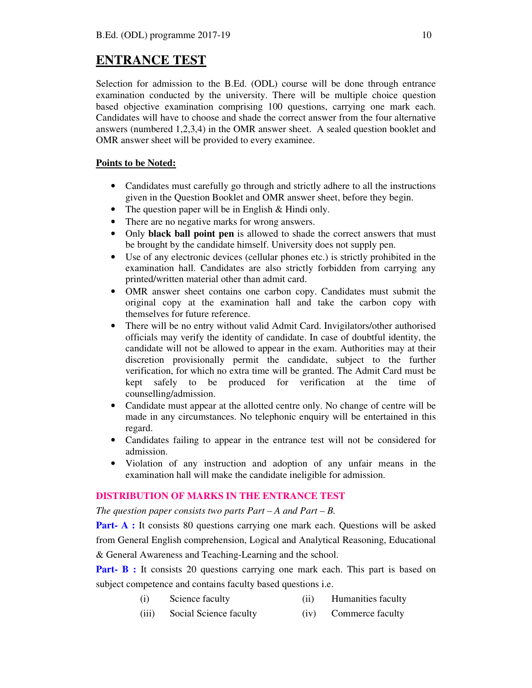## **ENTRANCE TEST**

Selection for admission to the B.Ed. (ODL) course will be done through entrance examination conducted by the university. There will be multiple choice question based objective examination comprising 100 questions, carrying one mark each. Candidates will have to choose and shade the correct answer from the four alternative answers (numbered 1,2,3,4) in the OMR answer sheet. A sealed question booklet and OMR answer sheet will be provided to every examinee.

#### **Points to be Noted:**

- Candidates must carefully go through and strictly adhere to all the instructions given in the Question Booklet and OMR answer sheet, before they begin.
- The question paper will be in English & Hindi only.
- There are no negative marks for wrong answers.
- Only **black ball point pen** is allowed to shade the correct answers that must be brought by the candidate himself. University does not supply pen.
- Use of any electronic devices (cellular phones etc.) is strictly prohibited in the examination hall. Candidates are also strictly forbidden from carrying any printed/written material other than admit card.
- OMR answer sheet contains one carbon copy. Candidates must submit the original copy at the examination hall and take the carbon copy with themselves for future reference.
- There will be no entry without valid Admit Card. Invigilators/other authorised officials may verify the identity of candidate. In case of doubtful identity, the candidate will not be allowed to appear in the exam. Authorities may at their discretion provisionally permit the candidate, subject to the further verification, for which no extra time will be granted. The Admit Card must be kept safely to be produced for verification at the time of counselling/admission.
- Candidate must appear at the allotted centre only. No change of centre will be made in any circumstances. No telephonic enquiry will be entertained in this regard.
- Candidates failing to appear in the entrance test will not be considered for admission.
- Violation of any instruction and adoption of any unfair means in the examination hall will make the candidate ineligible for admission.

#### **DISTRIBUTION OF MARKS IN THE ENTRANCE TEST**

*The question paper consists two parts Part – A and Part – B.* 

**Part- A :** It consists 80 questions carrying one mark each. Questions will be asked from General English comprehension, Logical and Analytical Reasoning, Educational & General Awareness and Teaching-Learning and the school.

**Part- B :** It consists 20 questions carrying one mark each. This part is based on subject competence and contains faculty based questions i.e.

- (i) Science faculty (ii) Humanities faculty
- (iii) Social Science faculty (iv) Commerce faculty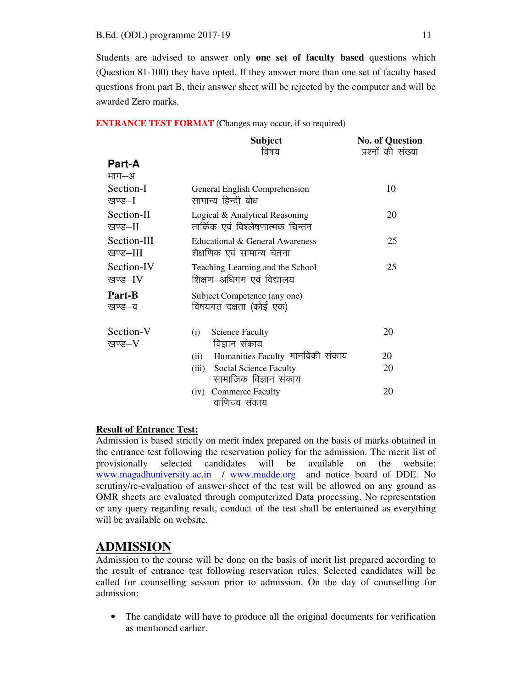Students are advised to answer only **one set of faculty based** questions which (Question 81-100) they have opted. If they answer more than one set of faculty based questions from part B, their answer sheet will be rejected by the computer and will be awarded Zero marks.

**ENTRANCE TEST FORMAT** (Changes may occur, if so required)

|                              | <b>Subject</b><br>विषय                                             | <b>No. of Question</b><br>प्रश्नों की संख्या |
|------------------------------|--------------------------------------------------------------------|----------------------------------------------|
| <b>Part-A</b>                |                                                                    |                                              |
| भाग—अ<br>Section-I<br>खण्ड—I | General English Comprehension<br>सामान्य हिन्दी बोध                | 10                                           |
| Section-II<br>खण्ड–II        | Logical & Analytical Reasoning<br>तार्किक एवं विश्लेषणात्मक चिन्तन | 20                                           |
| Section-III<br>खण्ड–III      | Educational & General Awareness<br>शैक्षणिक एवं सामान्य चेतना      | 25                                           |
| Section-IV<br>खण्ड–IV        | Teaching-Learning and the School<br>शिक्षण–अधिगम एवं विद्यालय      | 25                                           |
| Part-B<br>खण्ड—ब             | Subject Competence (any one)<br>विषयगत दक्षता (कोई एक)             |                                              |
| Section-V<br>खण्ड–V          | <b>Science Faculty</b><br>(i)<br>विज्ञान संकाय                     | 20                                           |
|                              | Humanities Faculty मानविकी संकाय<br>(ii)                           | 20                                           |
|                              | (iii)<br>Social Science Faculty<br>सामाजिक विज्ञान संकाय           | 20                                           |
|                              | <b>Commerce Faculty</b><br>(iv)<br>वाणिज्य संकाय                   | 20                                           |

#### **Result of Entrance Test:**

Admission is based strictly on merit index prepared on the basis of marks obtained in the entrance test following the reservation policy for the admission. The merit list of provisionally selected candidates will be available on the website: www.magadhuniversity.ac.in / www.mudde.org and notice board of DDE. No scrutiny/re-evaluation of answer-sheet of the test will be allowed on any ground as OMR sheets are evaluated through computerized Data processing. No representation or any query regarding result, conduct of the test shall be entertained as everything will be available on website.

## **ADMISSION**

Admission to the course will be done on the basis of merit list prepared according to the result of entrance test following reservation rules. Selected candidates will be called for counselling session prior to admission. On the day of counselling for admission:

• The candidate will have to produce all the original documents for verification as mentioned earlier.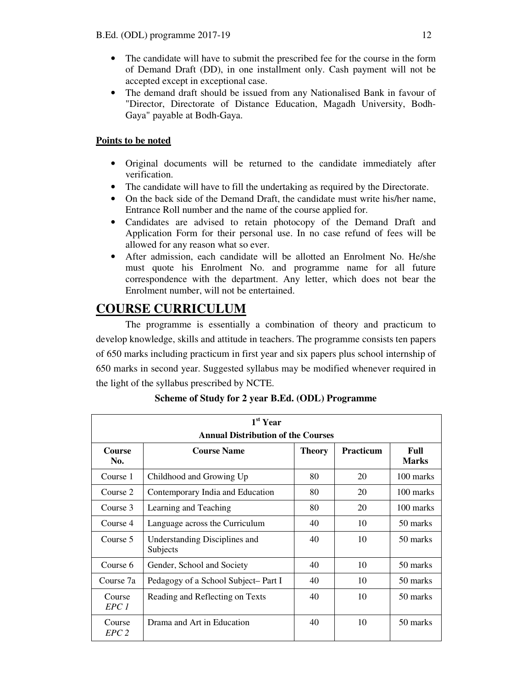- The candidate will have to submit the prescribed fee for the course in the form of Demand Draft (DD), in one installment only. Cash payment will not be accepted except in exceptional case.
- The demand draft should be issued from any Nationalised Bank in favour of "Director, Directorate of Distance Education, Magadh University, Bodh-Gaya" payable at Bodh-Gaya.

#### **Points to be noted**

- Original documents will be returned to the candidate immediately after verification.
- The candidate will have to fill the undertaking as required by the Directorate.
- On the back side of the Demand Draft, the candidate must write his/her name, Entrance Roll number and the name of the course applied for.
- Candidates are advised to retain photocopy of the Demand Draft and Application Form for their personal use. In no case refund of fees will be allowed for any reason what so ever.
- After admission, each candidate will be allotted an Enrolment No. He/she must quote his Enrolment No. and programme name for all future correspondence with the department. Any letter, which does not bear the Enrolment number, will not be entertained.

## **COURSE CURRICULUM**

The programme is essentially a combination of theory and practicum to develop knowledge, skills and attitude in teachers. The programme consists ten papers of 650 marks including practicum in first year and six papers plus school internship of 650 marks in second year. Suggested syllabus may be modified whenever required in the light of the syllabus prescribed by NCTE.

| 1 <sup>st</sup> Year<br><b>Annual Distribution of the Courses</b> |                                           |               |                  |                      |  |  |
|-------------------------------------------------------------------|-------------------------------------------|---------------|------------------|----------------------|--|--|
| <b>Course</b><br>No.                                              | <b>Course Name</b>                        | <b>Theory</b> | <b>Practicum</b> | Full<br><b>Marks</b> |  |  |
| Course 1                                                          | Childhood and Growing Up                  | 80            | 20               | 100 marks            |  |  |
| Course 2                                                          | Contemporary India and Education          | 80            | 20               | 100 marks            |  |  |
| Course 3                                                          | Learning and Teaching                     | 80            | 20               | 100 marks            |  |  |
| Course 4                                                          | Language across the Curriculum            | 40            | 10               | 50 marks             |  |  |
| Course 5                                                          | Understanding Disciplines and<br>Subjects | 40            | 10               | 50 marks             |  |  |
| Course 6                                                          | Gender, School and Society                | 40            | 10               | 50 marks             |  |  |
| Course 7a                                                         | Pedagogy of a School Subject-Part I       | 40            | 10               | 50 marks             |  |  |
| Course<br>EPC 1                                                   | Reading and Reflecting on Texts           | 40            | 10               | 50 marks             |  |  |
| Course<br>EPC <sub>2</sub>                                        | Drama and Art in Education                | 40            | 10               | 50 marks             |  |  |

**Scheme of Study for 2 year B.Ed. (ODL) Programme**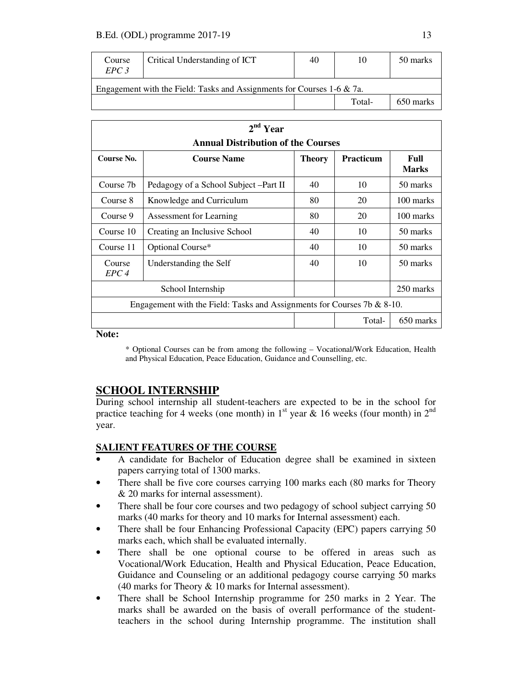| Course<br>EPC3                                                            | Critical Understanding of ICT | 40 | 10     | 50 marks  |  |  |  |
|---------------------------------------------------------------------------|-------------------------------|----|--------|-----------|--|--|--|
| Engagement with the Field: Tasks and Assignments for Courses 1-6 $\&$ 7a. |                               |    |        |           |  |  |  |
|                                                                           |                               |    | Total- | 650 marks |  |  |  |

| 2 <sup>nd</sup> Year                                                    |                                        |               |                  |                      |  |  |
|-------------------------------------------------------------------------|----------------------------------------|---------------|------------------|----------------------|--|--|
| <b>Annual Distribution of the Courses</b>                               |                                        |               |                  |                      |  |  |
| Course No.                                                              | <b>Course Name</b>                     | <b>Theory</b> | <b>Practicum</b> | Full<br><b>Marks</b> |  |  |
| Course 7b                                                               | Pedagogy of a School Subject – Part II | 40            | 10               | 50 marks             |  |  |
| Course 8                                                                | Knowledge and Curriculum               | 80            | 20               | 100 marks            |  |  |
| Course 9                                                                | Assessment for Learning                | 80            | 20               | 100 marks            |  |  |
| Course 10                                                               | Creating an Inclusive School           | 40            | 10               | 50 marks             |  |  |
| Course 11                                                               | Optional Course*                       | 40            | 10               | 50 marks             |  |  |
| Course<br>EPC <sub>4</sub>                                              | Understanding the Self                 | 40            | 10               | 50 marks             |  |  |
|                                                                         | School Internship                      |               |                  | 250 marks            |  |  |
| Engagement with the Field: Tasks and Assignments for Courses 7b & 8-10. |                                        |               |                  |                      |  |  |
|                                                                         |                                        |               | Total-           | 650 marks            |  |  |

**Note:** 

\* Optional Courses can be from among the following – Vocational/Work Education, Health and Physical Education, Peace Education, Guidance and Counselling, etc.

### **SCHOOL INTERNSHIP**

During school internship all student-teachers are expected to be in the school for practice teaching for 4 weeks (one month) in  $1<sup>st</sup>$  year & 16 weeks (four month) in  $2<sup>nd</sup>$ year.

#### **SALIENT FEATURES OF THE COURSE**

- A candidate for Bachelor of Education degree shall be examined in sixteen papers carrying total of 1300 marks.
- There shall be five core courses carrying 100 marks each (80 marks for Theory & 20 marks for internal assessment).
- There shall be four core courses and two pedagogy of school subject carrying 50 marks (40 marks for theory and 10 marks for Internal assessment) each.
- There shall be four Enhancing Professional Capacity (EPC) papers carrying 50 marks each, which shall be evaluated internally.
- There shall be one optional course to be offered in areas such as Vocational/Work Education, Health and Physical Education, Peace Education, Guidance and Counseling or an additional pedagogy course carrying 50 marks (40 marks for Theory & 10 marks for Internal assessment).
- There shall be School Internship programme for 250 marks in 2 Year. The marks shall be awarded on the basis of overall performance of the studentteachers in the school during Internship programme. The institution shall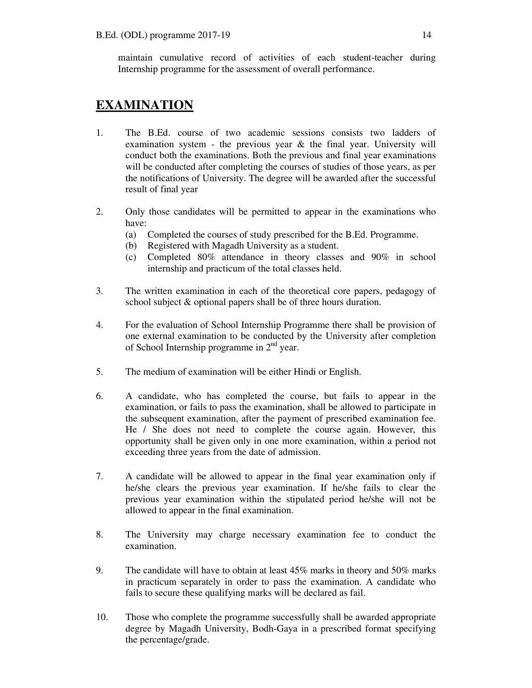maintain cumulative record of activities of each student-teacher during Internship programme for the assessment of overall performance.

## **EXAMINATION**

- 1. The B.Ed. course of two academic sessions consists two ladders of examination system - the previous year  $\&$  the final year. University will conduct both the examinations. Both the previous and final year examinations will be conducted after completing the courses of studies of those years, as per the notifications of University. The degree will be awarded after the successful result of final year
- 2. Only those candidates will be permitted to appear in the examinations who have:
	- (a) Completed the courses of study prescribed for the B.Ed. Programme.
	- (b) Registered with Magadh University as a student.
	- (c) Completed 80% attendance in theory classes and 90% in school internship and practicum of the total classes held.
- 3. The written examination in each of the theoretical core papers, pedagogy of school subject & optional papers shall be of three hours duration.
- 4. For the evaluation of School Internship Programme there shall be provision of one external examination to be conducted by the University after completion of School Internship programme in  $2<sup>nd</sup>$  year.
- 5. The medium of examination will be either Hindi or English.
- 6. A candidate, who has completed the course, but fails to appear in the examination, or fails to pass the examination, shall be allowed to participate in the subsequent examination, after the payment of prescribed examination fee. He / She does not need to complete the course again. However, this opportunity shall be given only in one more examination, within a period not exceeding three years from the date of admission.
- 7. A candidate will be allowed to appear in the final year examination only if he/she clears the previous year examination. If he/she fails to clear the previous year examination within the stipulated period he/she will not be allowed to appear in the final examination.
- 8. The University may charge necessary examination fee to conduct the examination.
- 9. The candidate will have to obtain at least  $45\%$  marks in theory and  $50\%$  marks in practicum separately in order to pass the examination. A candidate who fails to secure these qualifying marks will be declared as fail.
- 10. Those who complete the programme successfully shall be awarded appropriate degree by Magadh University, Bodh-Gaya in a prescribed format specifying the percentage/grade.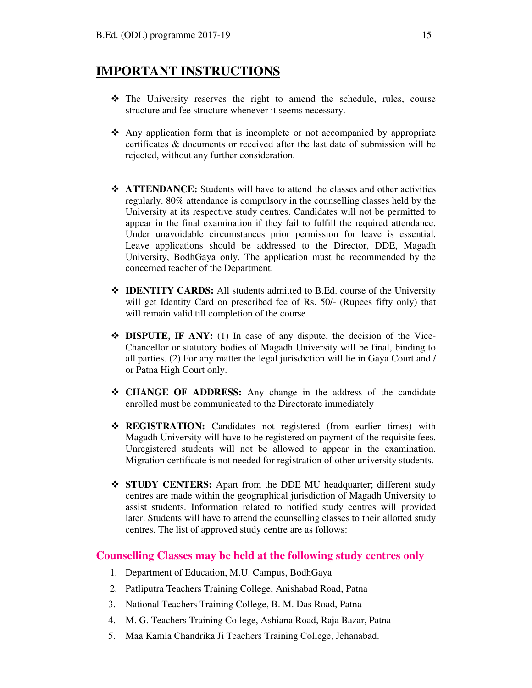### **IMPORTANT INSTRUCTIONS**

- The University reserves the right to amend the schedule, rules, course structure and fee structure whenever it seems necessary.
- Any application form that is incomplete or not accompanied by appropriate certificates & documents or received after the last date of submission will be rejected, without any further consideration.
- **\*** ATTENDANCE: Students will have to attend the classes and other activities regularly. 80% attendance is compulsory in the counselling classes held by the University at its respective study centres. Candidates will not be permitted to appear in the final examination if they fail to fulfill the required attendance. Under unavoidable circumstances prior permission for leave is essential. Leave applications should be addressed to the Director, DDE, Magadh University, BodhGaya only. The application must be recommended by the concerned teacher of the Department.
- **IDENTITY CARDS:** All students admitted to B.Ed. course of the University will get Identity Card on prescribed fee of Rs. 50/- (Rupees fifty only) that will remain valid till completion of the course.
- **DISPUTE, IF ANY:** (1) In case of any dispute, the decision of the Vice-Chancellor or statutory bodies of Magadh University will be final, binding to all parties. (2) For any matter the legal jurisdiction will lie in Gaya Court and / or Patna High Court only.
- **CHANGE OF ADDRESS:** Any change in the address of the candidate enrolled must be communicated to the Directorate immediately
- **REGISTRATION:** Candidates not registered (from earlier times) with Magadh University will have to be registered on payment of the requisite fees. Unregistered students will not be allowed to appear in the examination. Migration certificate is not needed for registration of other university students.
- **STUDY CENTERS:** Apart from the DDE MU headquarter; different study centres are made within the geographical jurisdiction of Magadh University to assist students. Information related to notified study centres will provided later. Students will have to attend the counselling classes to their allotted study centres. The list of approved study centre are as follows:

#### **Counselling Classes may be held at the following study centres only**

- 1. Department of Education, M.U. Campus, BodhGaya
- 2. Patliputra Teachers Training College, Anishabad Road, Patna
- 3. National Teachers Training College, B. M. Das Road, Patna
- 4. M. G. Teachers Training College, Ashiana Road, Raja Bazar, Patna
- 5. Maa Kamla Chandrika Ji Teachers Training College, Jehanabad.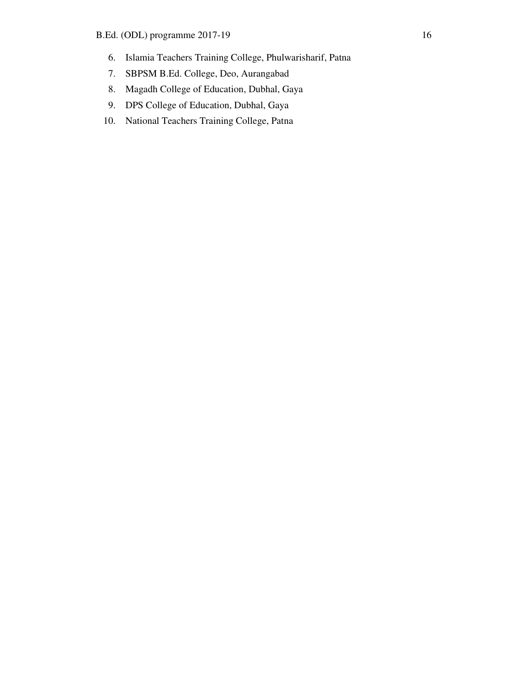- 6. Islamia Teachers Training College, Phulwarisharif, Patna
- 7. SBPSM B.Ed. College, Deo, Aurangabad
- 8. Magadh College of Education, Dubhal, Gaya
- 9. DPS College of Education, Dubhal, Gaya
- 10. National Teachers Training College, Patna